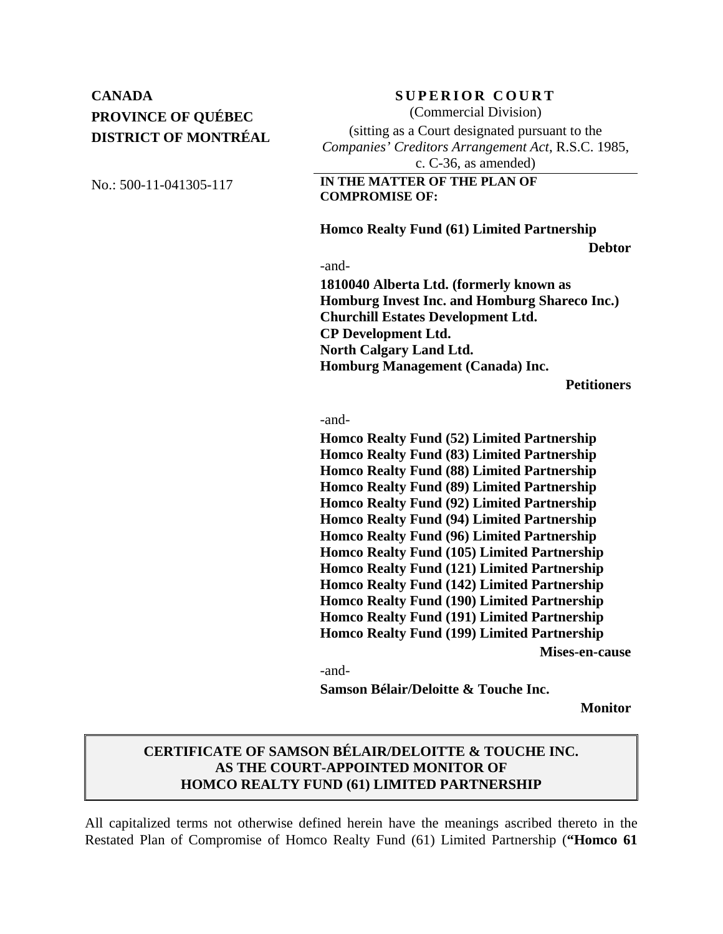## **CANADA** SUPERIOR COURT **PROVINCE OF QUÉBEC DISTRICT OF MONTRÉAL**

(Commercial Division)

(sitting as a Court designated pursuant to the *Companies' Creditors Arrangement Act*, R.S.C. 1985, c. C-36, as amended)

No.: 500-11-041305-117 **IN THE MATTER OF THE PLAN OF COMPROMISE OF:**

 **Homco Realty Fund (61) Limited Partnership** 

**Debtor**

-and-

**1810040 Alberta Ltd. (formerly known as Homburg Invest Inc. and Homburg Shareco Inc.) Churchill Estates Development Ltd. CP Development Ltd. North Calgary Land Ltd. Homburg Management (Canada) Inc.** 

**Petitioners**

-and-

**Homco Realty Fund (52) Limited Partnership Homco Realty Fund (83) Limited Partnership Homco Realty Fund (88) Limited Partnership Homco Realty Fund (89) Limited Partnership Homco Realty Fund (92) Limited Partnership Homco Realty Fund (94) Limited Partnership Homco Realty Fund (96) Limited Partnership Homco Realty Fund (105) Limited Partnership Homco Realty Fund (121) Limited Partnership Homco Realty Fund (142) Limited Partnership Homco Realty Fund (190) Limited Partnership Homco Realty Fund (191) Limited Partnership Homco Realty Fund (199) Limited Partnership** 

**Mises-en-cause** 

-and-

**Samson Bélair/Deloitte & Touche Inc.** 

**Monitor**

## **CERTIFICATE OF SAMSON BÉLAIR/DELOITTE & TOUCHE INC. AS THE COURT-APPOINTED MONITOR OF HOMCO REALTY FUND (61) LIMITED PARTNERSHIP**

All capitalized terms not otherwise defined herein have the meanings ascribed thereto in the Restated Plan of Compromise of Homco Realty Fund (61) Limited Partnership (**"Homco 61**